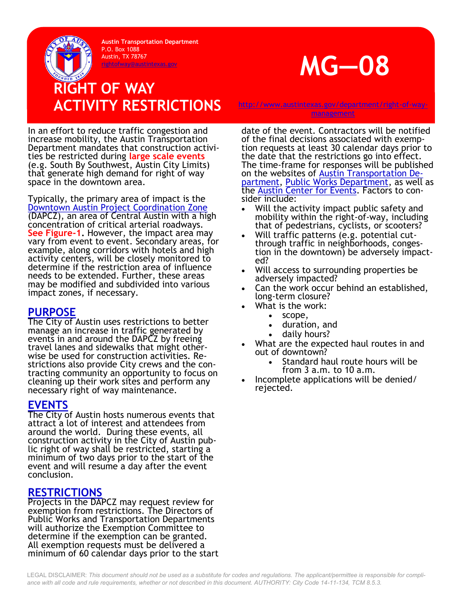**Austin Transportation Department** P.O. Box 1088 Austin, TX 78767



## **RIGHT OF WAY**  ACTIVITY RESTRICTIONS [http://www.austintexas.gov/department/right](http://www.austintexas.gov/department/right-of-way-management)-of-way-

[management](http://www.austintexas.gov/department/right-of-way-management)

In an effort to reduce traffic congestion and increase mobility, the Austin Transportation Department mandates that construction activities be restricted during **large scale events**  (e.g. South By Southwest, Austin City Limits) that generate high demand for right of way space in the downtown area.

Typically, the primary area of impact is the [Downtown Austin Project Coordination Zone](https://www.austintexas.gov/sites/default/files/files/Transportation/Parking/DAPCZ_Map.pdf) (DAPCZ), an area of Central Austin with a high concentration of critical arterial roadways. **See Figure-1.** However, the impact area may vary from event to event. Secondary areas, for example, along corridors with hotels and high activity centers, will be closely monitored to determine if the restriction area of influence needs to be extended. Further, these areas may be modified and subdivided into various impact zones, if necessary.

## **PURPOSE**

The City of Austin uses restrictions to better manage an increase in traffic generated by events in and around the DAPCZ by freeing travel lanes and sidewalks that might otherwise be used for construction activities. Restrictions also provide City crews and the contracting community an opportunity to focus on cleaning up their work sites and perform any necessary right of way maintenance.

## **EVENTS**

The City of Austin hosts numerous events that attract a lot of interest and attendees from around the world. During these events, all construction activity in the City of Austin public right of way shall be restricted, starting a minimum of two days prior to the start of the event and will resume a day after the event conclusion.

## **RESTRICTIONS**

Projects in the DAPCZ may request review for exemption from restrictions. The Directors of Public Works and Transportation Departments will authorize the Exemption Committee to determine if the exemption can be granted. All exemption requests must be delivered a minimum of 60 calendar days prior to the start

date of the event. Contractors will be notified of the final decisions associated with exemption requests at least 30 calendar days prior to the date that the restrictions go into effect. The time-frame for responses will be published on the websites of **[Austin Transportation De](https://www.austintexas.gov/department/transportation)**[partment,](https://www.austintexas.gov/department/transportation) [Public Works Department,](https://www.austintexas.gov/department/public-works) as well as the [Austin Center for Events.](http://austintexas.gov/citystage) Factors to consider include:

- Will the activity impact public safety and mobility within the right-of-way, including that of pedestrians, cyclists, or scooters?
- Will traffic patterns (e.g. potential cutthrough traffic in neighborhoods, congestion in the downtown) be adversely impacted?
- Will access to surrounding properties be adversely impacted?
- Can the work occur behind an established, long-term closure?
- What is the work:
	- scope,
	- duration, and
	- daily hours?
- What are the expected haul routes in and out of downtown?
	- Standard haul route hours will be from 3 a.m. to 10 a.m.
- Incomplete applications will be denied/ rejected.

LEGAL DISCLAIMER: *This document should not be used as a substitute for codes and regulations. The applicant/permittee is responsible for compliance with all code and rule requirements, whether or not described in this document. AUTHORITY: City Code 14-11-134, TCM 8.5.3.*